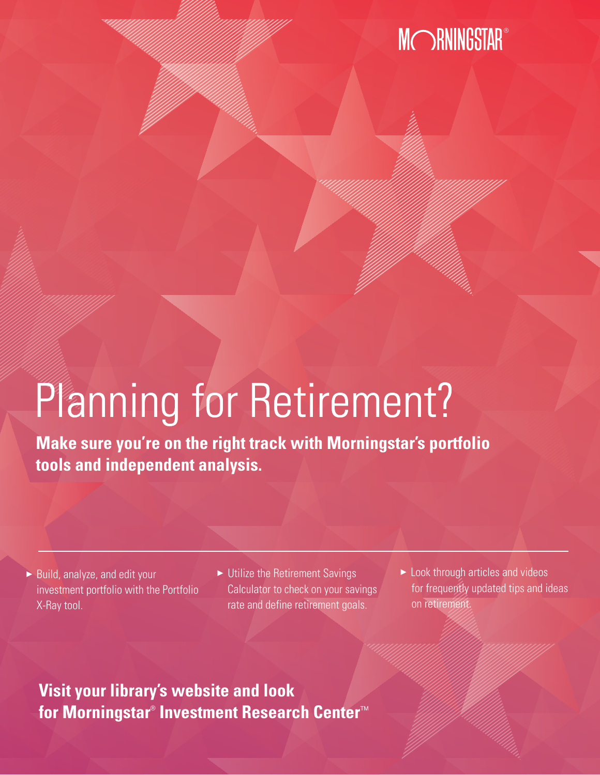#### **MORNINGSTAR**

## Planning for Retirement?

**Make sure you're on the right track with Morningstar's portfolio tools and independent analysis.** 

- $\blacktriangleright$  Build, analyze, and edit your investment portfolio with the Portfolio X-Ray tool.
- $\blacktriangleright$  Utilize the Retirement Savings Calculator to check on your savings rate and define retirement goals.
- $\blacktriangleright$  Look through articles and videos for frequently updated tips and ideas on retirement.

**Visit your library's website and look**  for Morningstar® Investment Research Center**™**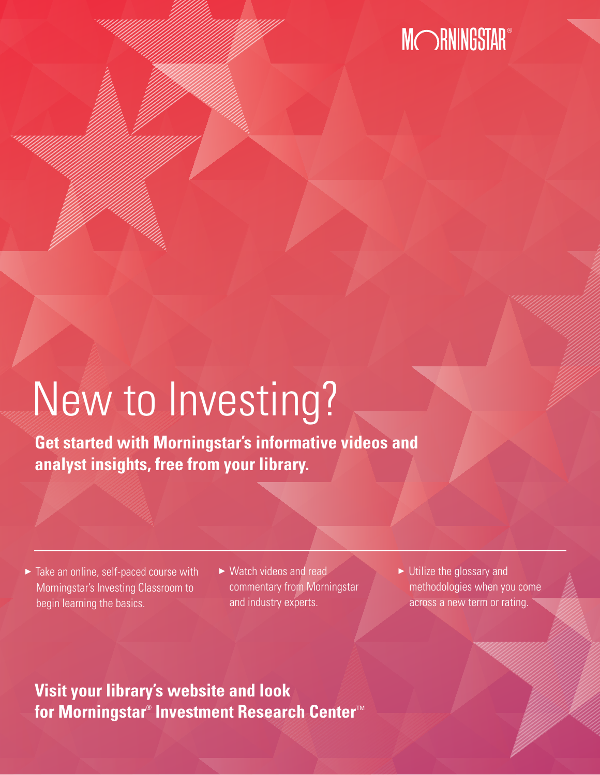## MORNINGSTAR®

# New to Investing?

**Get started with Morningstar's informative videos and analyst insights, free from your library.**

- $\blacktriangleright$  Take an online, self-paced course with Morningstar's Investing Classroom to begin learning the basics.
- $\triangleright$  Watch videos and read commentary from Morningstar and industry experts.
- $\blacktriangleright$  Utilize the glossary and methodologies when you come across a new term or rating.

#### **Visit your library's website and look** for Morningstar® Investment Research Center™